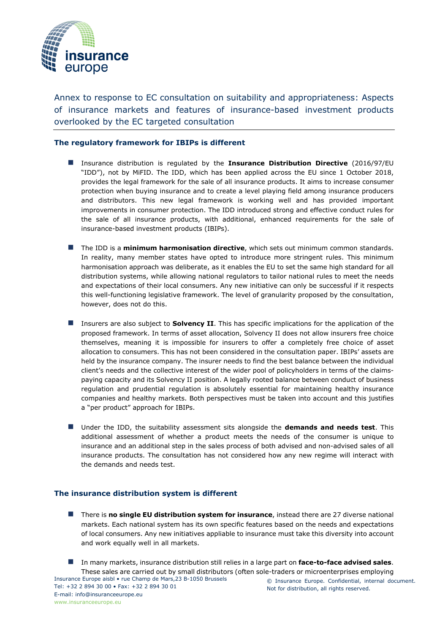

Annex to response to EC consultation on suitability and appropriateness: Aspects of insurance markets and features of insurance-based investment products overlooked by the EC targeted consultation

## **The regulatory framework for IBIPs is different**

- ◼ Insurance distribution is regulated by the **Insurance Distribution Directive** (2016/97/EU "IDD"), not by MiFID. The IDD, which has been applied across the EU since 1 October 2018, provides the legal framework for the sale of all insurance products. It aims to increase consumer protection when buying insurance and to create a level playing field among insurance producers and distributors. This new legal framework is working well and has provided important improvements in consumer protection. The IDD introduced strong and effective conduct rules for the sale of all insurance products, with additional, enhanced requirements for the sale of insurance-based investment products (IBIPs).
- The IDD is a **minimum harmonisation directive**, which sets out minimum common standards. In reality, many member states have opted to introduce more stringent rules. This minimum harmonisation approach was deliberate, as it enables the EU to set the same high standard for all distribution systems, while allowing national regulators to tailor national rules to meet the needs and expectations of their local consumers. Any new initiative can only be successful if it respects this well-functioning legislative framework. The level of granularity proposed by the consultation, however, does not do this.
- Insurers are also subject to **Solvency II**. This has specific implications for the application of the proposed framework. In terms of asset allocation, Solvency II does not allow insurers free choice themselves, meaning it is impossible for insurers to offer a completely free choice of asset allocation to consumers. This has not been considered in the consultation paper. IBIPs' assets are held by the insurance company. The insurer needs to find the best balance between the individual client's needs and the collective interest of the wider pool of policyholders in terms of the claimspaying capacity and its Solvency II position. A legally rooted balance between conduct of business regulation and prudential regulation is absolutely essential for maintaining healthy insurance companies and healthy markets. Both perspectives must be taken into account and this justifies a "per product" approach for IBIPs.
- Under the IDD, the suitability assessment sits alongside the **demands and needs test**. This additional assessment of whether a product meets the needs of the consumer is unique to insurance and an additional step in the sales process of both advised and non-advised sales of all insurance products. The consultation has not considered how any new regime will interact with the demands and needs test.

## **The insurance distribution system is different**

www.insuranceeurope.eu

- There is **no single EU distribution system for insurance**, instead there are 27 diverse national markets. Each national system has its own specific features based on the needs and expectations of local consumers. Any new initiatives appliable to insurance must take this diversity into account and work equally well in all markets.
- Insurance Europe aisbl rue Champ de Mars,23 B-1050 Brussels Tel: +32 2 894 30 00 • Fax: +32 2 894 30 01 E-mail: info@insuranceeurope.eu © Insurance Europe. Confidential, internal document. Not for distribution, all rights reserved. ■ In many markets, insurance distribution still relies in a large part on **face-to-face advised sales**. These sales are carried out by small distributors (often sole-traders or microenterprises employing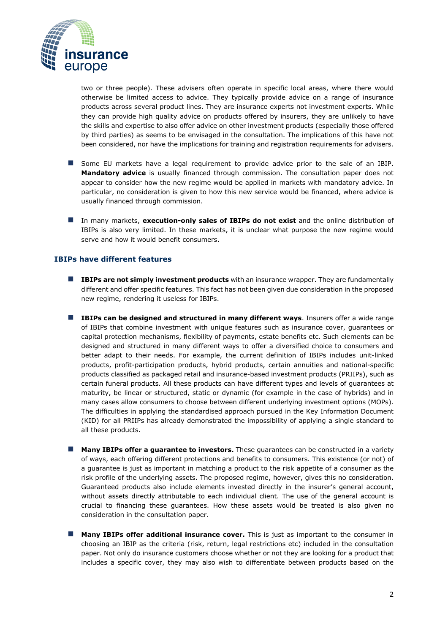

two or three people). These advisers often operate in specific local areas, where there would otherwise be limited access to advice. They typically provide advice on a range of insurance products across several product lines. They are insurance experts not investment experts. While they can provide high quality advice on products offered by insurers, they are unlikely to have the skills and expertise to also offer advice on other investment products (especially those offered by third parties) as seems to be envisaged in the consultation. The implications of this have not been considered, nor have the implications for training and registration requirements for advisers.

- Some EU markets have a legal requirement to provide advice prior to the sale of an IBIP. **Mandatory advice** is usually financed through commission. The consultation paper does not appear to consider how the new regime would be applied in markets with mandatory advice. In particular, no consideration is given to how this new service would be financed, where advice is usually financed through commission.
- In many markets, execution-only sales of IBIPs do not exist and the online distribution of IBIPs is also very limited. In these markets, it is unclear what purpose the new regime would serve and how it would benefit consumers.

## **IBIPs have different features**

- **IBIPs are not simply investment products** with an insurance wrapper. They are fundamentally different and offer specific features. This fact has not been given due consideration in the proposed new regime, rendering it useless for IBIPs.
- **IBIPs can be designed and structured in many different ways**. Insurers offer a wide range of IBIPs that combine investment with unique features such as insurance cover, guarantees or capital protection mechanisms, flexibility of payments, estate benefits etc. Such elements can be designed and structured in many different ways to offer a diversified choice to consumers and better adapt to their needs. For example, the current definition of IBIPs includes unit-linked products, profit-participation products, hybrid products, certain annuities and national-specific products classified as packaged retail and insurance-based investment products (PRIIPs), such as certain funeral products. All these products can have different types and levels of guarantees at maturity, be linear or structured, static or dynamic (for example in the case of hybrids) and in many cases allow consumers to choose between different underlying investment options (MOPs). The difficulties in applying the standardised approach pursued in the Key Information Document (KID) for all PRIIPs has already demonstrated the impossibility of applying a single standard to all these products.
- **Many IBIPs offer a quarantee to investors.** These quarantees can be constructed in a variety of ways, each offering different protections and benefits to consumers. This existence (or not) of a guarantee is just as important in matching a product to the risk appetite of a consumer as the risk profile of the underlying assets. The proposed regime, however, gives this no consideration. Guaranteed products also include elements invested directly in the insurer's general account, without assets directly attributable to each individual client. The use of the general account is crucial to financing these guarantees. How these assets would be treated is also given no consideration in the consultation paper.
- Many IBIPs offer additional insurance cover. This is just as important to the consumer in choosing an IBIP as the criteria (risk, return, legal restrictions etc) included in the consultation paper. Not only do insurance customers choose whether or not they are looking for a product that includes a specific cover, they may also wish to differentiate between products based on the